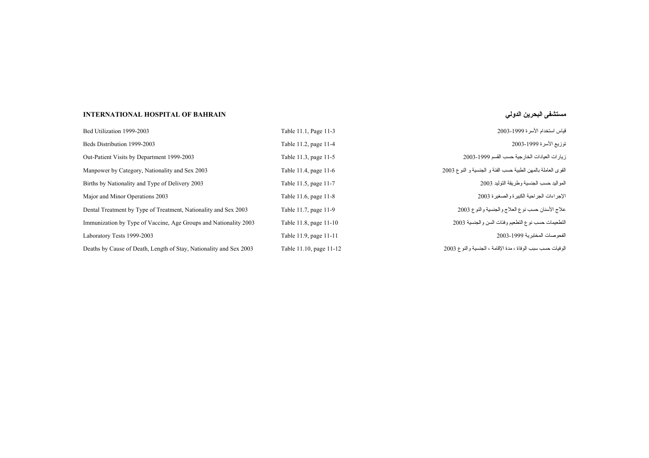## **INTERNATIONAL HOSPITAL OF BAHRAIN الدولي البحرين مستشفى**

| Bed Utilization 1999-2003                                          | Table 11.1, Page 11-3   | قياس استخدام الأسر ة 1999-2003                                 |
|--------------------------------------------------------------------|-------------------------|----------------------------------------------------------------|
| Beds Distribution 1999-2003                                        | Table 11.2, page 11-4   | توزيع الأسرة 1999-2003                                         |
| Out-Patient Visits by Department 1999-2003                         | Table 11.3, page 11-5   | زيار ات العيادات الخار جية حسب القسم 1999-2003                 |
| Manpower by Category, Nationality and Sex 2003                     | Table 11.4, page 11-6   | القوى العاملة بالمهن الطبية حسب الفئة و الجنسية و النوع 2003   |
| Births by Nationality and Type of Delivery 2003                    | Table 11.5, page 11-7   | المو اليد حسب الجنسية و طر يقة التوليد 2003                    |
| Major and Minor Operations 2003                                    | Table 11.6, page 11-8   | الإجراءات الجراحية الكبيرة والصغيرة 2003                       |
| Dental Treatment by Type of Treatment, Nationality and Sex 2003    | Table 11.7, page 11-9   | علاج الأسنان حسب نوع العلاج والجنسية والنوع 2003               |
| Immunization by Type of Vaccine, Age Groups and Nationality 2003   | Table 11.8, page 11-10  | التطعيمات حسب نوع التطعيم وفئات السن والجنسية 2003             |
| Laboratory Tests 1999-2003                                         | Table 11.9, page 11-11  | الفحو صات المختبر ية 1999-2003                                 |
| Deaths by Cause of Death, Length of Stay, Nationality and Sex 2003 | Table 11.10, page 11-12 | الو فيات حسب سبب الو فاة ، مدة الإقامة ، الجنسية و النو ع 2003 |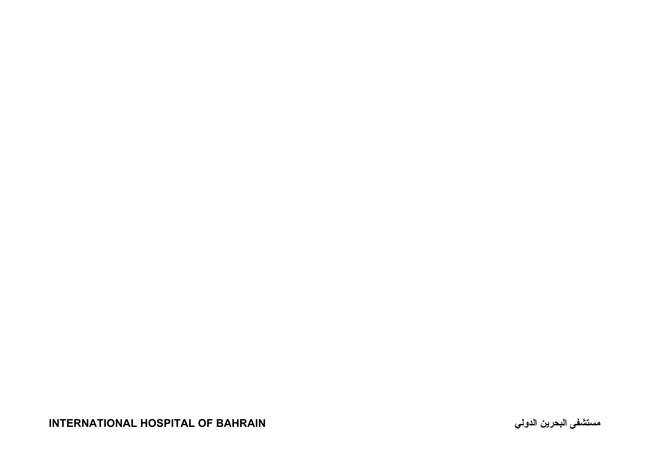**INTERNATIONAL HOSPITAL OF BAHRAIN**

**الدولي البحرين مستشفى**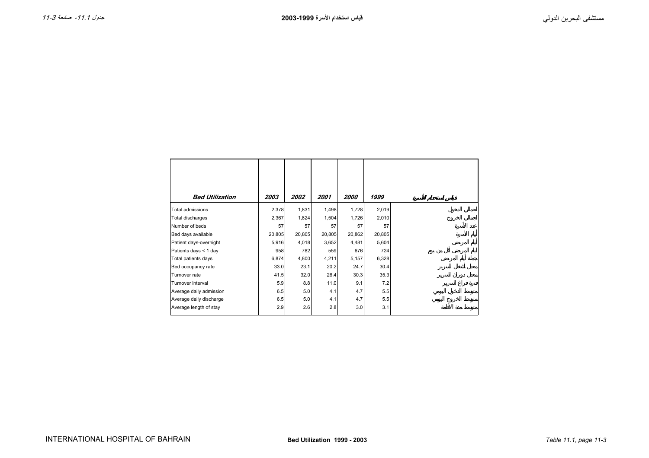<span id="page-2-0"></span>

| <b>Bed Utilization</b>  | 2003   | 2002   | 2001   | <i><b>2000</b></i> | 1999   |
|-------------------------|--------|--------|--------|--------------------|--------|
| Total admissions        | 2,378  | 1,831  | 1,498  | 1,728              | 2,019  |
| Total discharges        | 2,367  | 1,824  | 1,504  | 1,726              | 2,010  |
| Number of beds          | 57     | 57     | 57     | 57                 | 57     |
| Bed days available      | 20,805 | 20,805 | 20,805 | 20,862             | 20,805 |
| Patient days-overnight  | 5,916  | 4,018  | 3,652  | 4,481              | 5,604  |
| Patients days < 1 day   | 958    | 782    | 559    | 676                | 724    |
| Total patients days     | 6,874  | 4,800  | 4,211  | 5,157              | 6,328  |
| Bed occupancy rate      | 33.0   | 23.1   | 20.2   | 24.7               | 30.4   |
| Turnover rate           | 41.5   | 32.0   | 26.4   | 30.3               | 35.3   |
| Turnover interval       | 5.9    | 8.8    | 11.0   | 9.1                | 7.2    |
| Average daily admission | 6.5    | 5.0    | 4.1    | 4.7                | 5.5    |
| Average daily discharge | 6.5    | 5.0    | 4.1    | 4.7                | 5.5    |
| Average length of stay  | 2.9    | 2.6    | 2.8    | 3.0                | 3.1    |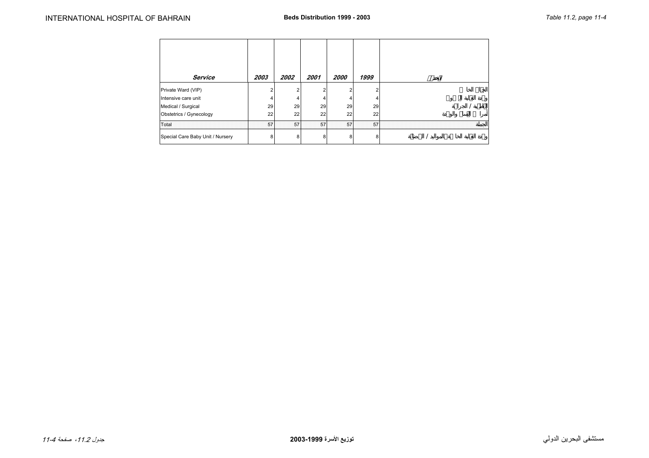<span id="page-3-0"></span>

| Service                          | 2003 | 2002 | 2001 | <i>2000</i> | 1999 |  |
|----------------------------------|------|------|------|-------------|------|--|
| Private Ward (VIP)               |      |      |      | ົ           | 2    |  |
| Intensive care unit              |      |      |      |             | 4    |  |
| Medical / Surgical               | 29   | 29   | 29   | 29          | 29   |  |
| Obstetrics / Gynecology          | 22   | 22   | 22   | 22          | 22   |  |
| Total                            | 57   | 57   | 57   | 57          | 57   |  |
| Special Care Baby Unit / Nursery | 8    | 8    | 8    | 8           | 8    |  |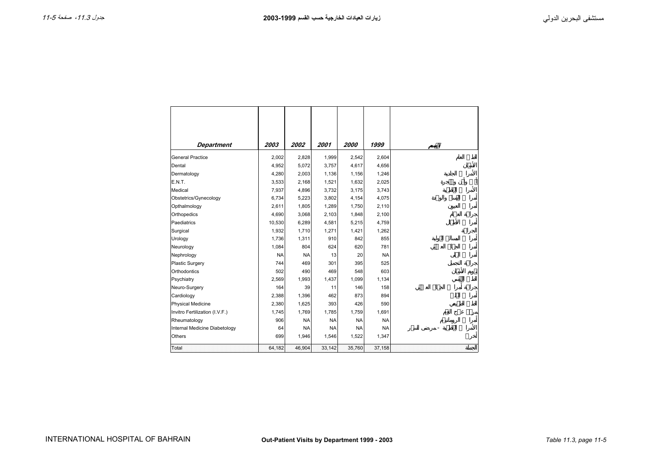<span id="page-4-0"></span>

| <b>Department</b>              | 2003      | 2002      | 2001      | 2000      | 1999      |  |
|--------------------------------|-----------|-----------|-----------|-----------|-----------|--|
|                                |           |           |           |           |           |  |
| <b>General Practice</b>        | 2,002     | 2,828     | 1,999     | 2,542     | 2,604     |  |
| Dental                         | 4,952     | 5,072     | 3,757     | 4,617     | 4,656     |  |
| Dermatology                    | 4,280     | 2,003     | 1,136     | 1,156     | 1,246     |  |
| E.N.T.                         | 3,533     | 2,168     | 1,521     | 1,632     | 2,025     |  |
| Medical                        | 7,937     | 4,896     | 3,732     | 3,175     | 3,743     |  |
| Obstetrics/Gynecology          | 6,734     | 5,223     | 3,802     | 4,154     | 4,075     |  |
| Opthalmology                   | 2,611     | 1,805     | 1,289     | 1,750     | 2,110     |  |
| Orthopedics                    | 4,690     | 3,068     | 2,103     | 1,848     | 2,100     |  |
| Paediatrics                    | 10,530    | 6,289     | 4,581     | 5,215     | 4,759     |  |
| Surgical                       | 1,932     | 1,710     | 1,271     | 1,421     | 1,262     |  |
| Urology                        | 1,736     | 1,311     | 910       | 842       | 855       |  |
| Neurology                      | 1,084     | 804       | 624       | 620       | 781       |  |
| Nephrology                     | <b>NA</b> | <b>NA</b> | 13        | 20        | <b>NA</b> |  |
| Plastic Surgery                | 744       | 469       | 301       | 395       | 525       |  |
| Orthodontics                   | 502       | 490       | 469       | 548       | 603       |  |
| Psychiatry                     | 2,569     | 1,993     | 1,437     | 1,099     | 1,134     |  |
| Neuro-Surgery                  | 164       | 39        | 11        | 146       | 158       |  |
| Cardiology                     | 2,388     | 1,396     | 462       | 873       | 894       |  |
| <b>Physical Medicine</b>       | 2,380     | 1,625     | 393       | 426       | 590       |  |
| Invitro Fertilization (I.V.F.) | 1,745     | 1,769     | 1,785     | 1,759     | 1,691     |  |
| Rheumatology                   | 906       | <b>NA</b> | <b>NA</b> | <b>NA</b> | <b>NA</b> |  |
| Internal Medicine Diabetology  | 64        | <b>NA</b> | <b>NA</b> | <b>NA</b> | <b>NA</b> |  |
| Others                         | 699       | 1,946     | 1,546     | 1,522     | 1,347     |  |
| Total                          | 64,182    | 46,904    | 33,142    | 35,760    | 37,158    |  |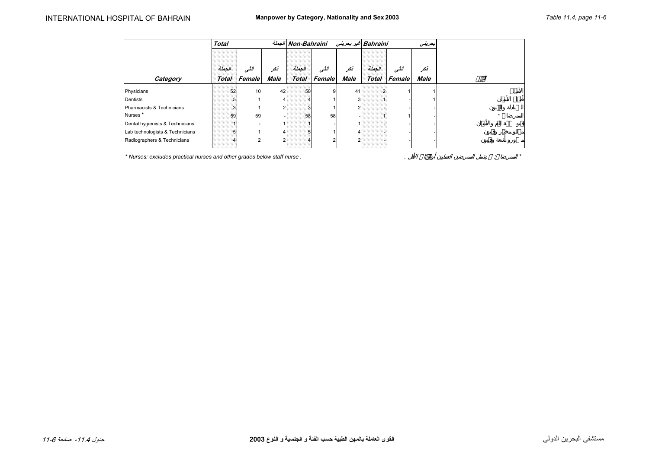<span id="page-5-0"></span>

|                                 | <b>Total</b> |        |             | الجملة Non-Bahraini |        | Bahraini غير بحريني |              |        | بعريني      |  |
|---------------------------------|--------------|--------|-------------|---------------------|--------|---------------------|--------------|--------|-------------|--|
|                                 |              |        |             |                     |        |                     |              |        |             |  |
|                                 | الحملة       | أنشه   | نكر         | الحملة              | أنفه   | نكر                 | الحملة       | تنشه   | نكر         |  |
| Category                        | Total        | Female | <b>Male</b> | Total               | Female | <b>Male</b>         | <b>Total</b> | Female | <b>Male</b> |  |
| Physicians                      | 52           | 10     | 42          | 50                  | 9      | 41                  |              |        |             |  |
| Dentists                        |              |        |             |                     |        |                     |              |        |             |  |
| Pharmacists & Technicians       |              |        |             |                     |        |                     |              |        |             |  |
| Nurses <sup>*</sup>             | 59           | 59     |             | 58                  | 58     |                     |              |        |             |  |
| Dental hygienists & Technicians |              |        |             |                     |        |                     |              |        |             |  |
| Lab technologists & Technicians |              |        |             |                     |        |                     |              |        |             |  |
| Radiographers & Technicians     | 4            |        |             |                     |        |                     |              |        |             |  |

*\* Nurses: excludes practical nurses and other grades below staff nurse .* . : *\**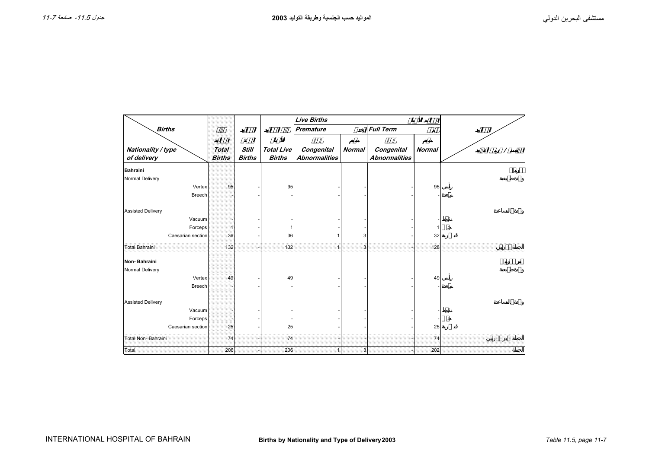<span id="page-6-0"></span>sing.

|                                   |                               |                               |                                    | <b>Live Births</b>                 |               |                                    |               |  |
|-----------------------------------|-------------------------------|-------------------------------|------------------------------------|------------------------------------|---------------|------------------------------------|---------------|--|
| <b>Births</b>                     |                               |                               |                                    | <b>Premature</b>                   |               | <b>Full Term</b>                   | Ø             |  |
| Nationality / type<br>of delivery | <b>Total</b><br><b>Births</b> | <b>Still</b><br><b>Births</b> | <b>Total Live</b><br><b>Births</b> | Congenital<br><b>Abnormalities</b> | <b>Normal</b> | Congenital<br><b>Abnormalities</b> | <b>Normal</b> |  |
| <b>Bahraini</b>                   |                               |                               |                                    |                                    |               |                                    |               |  |
| Normal Delivery                   |                               |                               |                                    |                                    |               |                                    |               |  |
| Vertex                            | 95                            |                               | 95                                 |                                    |               |                                    | 95            |  |
| Breech                            |                               |                               |                                    |                                    |               |                                    |               |  |
| <b>Assisted Delivery</b>          |                               |                               |                                    |                                    |               |                                    |               |  |
| Vacuum                            |                               |                               |                                    |                                    |               |                                    |               |  |
| Forceps                           |                               |                               |                                    |                                    |               |                                    |               |  |
| Caesarian section                 | 36                            |                               | 36                                 |                                    | 3             |                                    | 32            |  |
| Total Bahraini                    | 132                           |                               | 132                                |                                    | 3             |                                    | 128           |  |
| Non-Bahraini<br>Normal Delivery   |                               |                               |                                    |                                    |               |                                    |               |  |
| Vertex                            | 49                            |                               | 49                                 |                                    |               |                                    | 49            |  |
| <b>Breech</b>                     |                               |                               |                                    |                                    |               |                                    |               |  |
| <b>Assisted Delivery</b>          |                               |                               |                                    |                                    |               |                                    |               |  |
| Vacuum                            |                               |                               |                                    |                                    |               |                                    |               |  |
| Forceps                           |                               |                               |                                    |                                    |               |                                    |               |  |
| Caesarian section                 | 25                            |                               | 25                                 |                                    |               |                                    | 25            |  |
| Total Non-Bahraini                | 74                            |                               | 74                                 |                                    |               |                                    | 74            |  |
| Total                             | 206                           |                               | 206                                |                                    | 3             |                                    | 202           |  |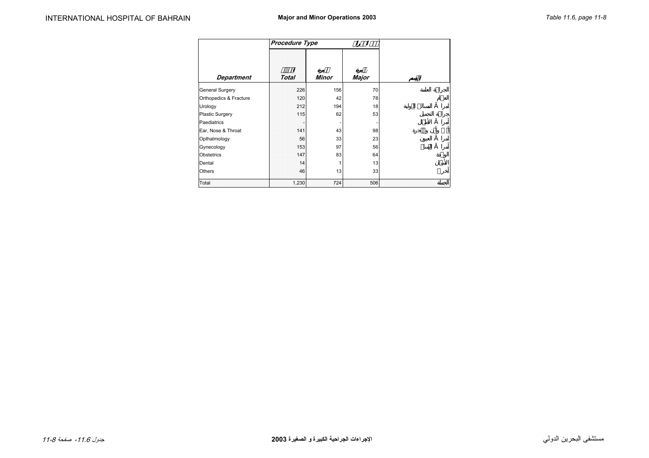<span id="page-7-0"></span>

|                        | Procedure Type |       |              |  |
|------------------------|----------------|-------|--------------|--|
|                        |                |       |              |  |
| <b>Department</b>      | <b>Total</b>   | Minor | <b>Major</b> |  |
| General Surgery        | 226            | 156   | 70           |  |
| Orthopedics & Fracture | 120            | 42    | 78           |  |
| Urology                | 212            | 194   | 18           |  |
| Plastic Surgery        | 115            | 62    | 53           |  |
| Paediatrics            |                |       |              |  |
| Ear, Nose & Throat     | 141            | 43    | 98           |  |
| Opthalmology           | 56             | 33    | 23           |  |
| Gynecology             | 153            | 97    | 56           |  |
| <b>Obstetrics</b>      | 147            | 83    | 64           |  |
| Dental                 | 14             |       | 13           |  |
| <b>Others</b>          | 46             | 13    | 33           |  |
| Total                  | 1,230          | 724   | 506          |  |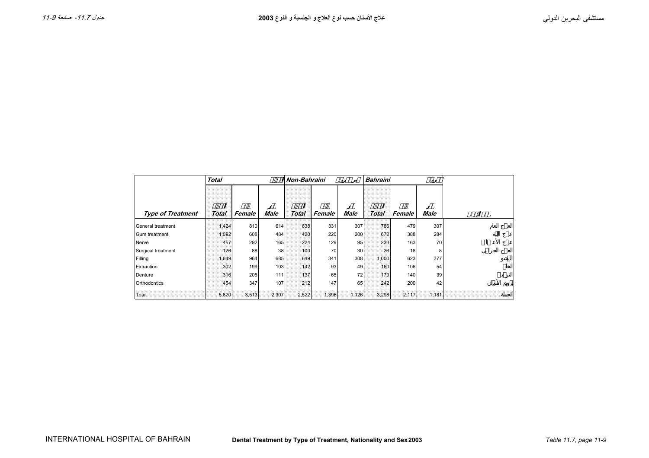<span id="page-8-0"></span>

|                          | <b>Total</b> |        |             | <b>Non-Bahraini</b> |        |             | <b>Bahraini</b> |        |             |  |
|--------------------------|--------------|--------|-------------|---------------------|--------|-------------|-----------------|--------|-------------|--|
| <b>Type of Treatment</b> | Total        | Female | <b>Male</b> | <b>Total</b>        | Female | <b>Male</b> | <b>Total</b>    | Female | <b>Male</b> |  |
| General treatment        | 1.424        | 810    | 614         | 638                 | 331    | 307         | 786             | 479    | 307         |  |
| <b>Gum treatment</b>     | 1,092        | 608    | 484         | 420                 | 220    | 200         | 672             | 388    | 284         |  |
| Nerve                    | 457          | 292    | 165         | 224                 | 129    | 95          | 233             | 163    | 70          |  |
| Surgical treatment       | 126          | 88     | 38          | 100                 | 70     | 30          | 26              | 18     | 8           |  |
| Filling                  | 1.649        | 964    | 685         | 649                 | 341    | 308         | 1,000           | 623    | 377         |  |
| Extraction               | 302          | 199    | 103         | 142                 | 93     | 49          | 160             | 106    | 54          |  |
| Denture                  | 316          | 205    | 111         | 137                 | 65     | 72          | 179             | 140    | 39          |  |
| Orthodontics             | 454          | 347    | 107         | 212                 | 147    | 65          | 242             | 200    | 42          |  |
| Total                    | 5,820        | 3,513  | 2,307       | 2,522               | 1,396  | 1,126       | 3,298           | 2,117  | 1,181       |  |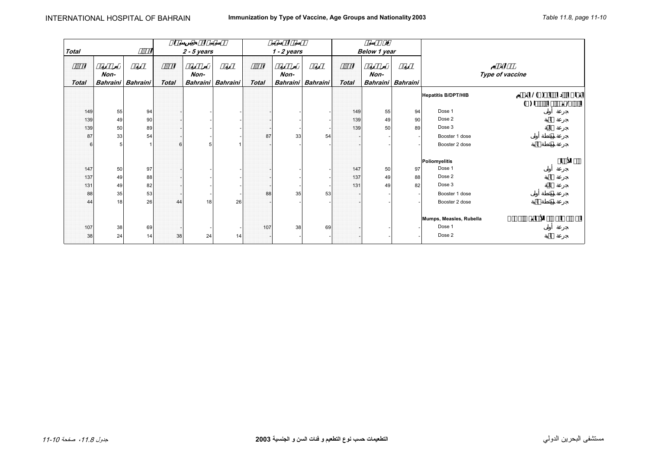<span id="page-9-0"></span>

|              |          |                 |              |               |                   |              |               |                   | ø            |     |                     |                   |                            |                 |   |   |
|--------------|----------|-----------------|--------------|---------------|-------------------|--------------|---------------|-------------------|--------------|-----|---------------------|-------------------|----------------------------|-----------------|---|---|
| <b>Total</b> |          |                 |              | $2 - 5$ years |                   |              | $1 - 2$ years |                   |              |     | <b>Below 1 year</b> |                   |                            |                 |   |   |
|              |          |                 |              |               |                   |              |               |                   |              |     |                     |                   |                            |                 |   |   |
|              |          |                 |              |               |                   |              |               |                   |              |     |                     |                   |                            |                 |   |   |
|              | Non-     |                 |              | Non-          |                   |              | Non-          |                   |              |     | Non-                |                   |                            | Type of vaccine |   |   |
| <b>Total</b> | Bahraini | <b>Bahraini</b> | <b>Total</b> |               | Bahraini Bahraini | <b>Total</b> |               | Bahraini Bahraini | <b>Total</b> |     |                     | Bahraini Bahraini |                            |                 |   |   |
|              |          |                 |              |               |                   |              |               |                   |              |     |                     |                   | <b>Hepatitis B/DPT/HIB</b> | 1()             |   |   |
|              |          |                 |              |               |                   |              |               |                   |              |     |                     |                   |                            | ( )             |   |   |
| 149          | 55       | 94              |              |               |                   |              |               |                   |              | 149 | 55                  | 94                | Dose 1                     |                 |   |   |
| 139          | 49       | 90              |              |               |                   |              |               |                   |              | 139 | 49                  | 90                | Dose 2                     |                 |   |   |
| 139          | 50       | 89              |              |               |                   |              |               |                   |              | 139 | 50                  | 89                | Dose 3                     |                 |   |   |
| 87           | 33       | 54              |              |               |                   | 87           | 33            | 54                |              |     |                     |                   | Booster 1 dose             |                 |   |   |
| R            | 5        |                 |              | 6<br>5        |                   |              |               |                   |              |     |                     |                   | Booster 2 dose             |                 |   |   |
|              |          |                 |              |               |                   |              |               |                   |              |     |                     |                   |                            |                 |   |   |
|              |          |                 |              |               |                   |              |               |                   |              |     |                     |                   | Poliomyelitis              |                 | Ø | Ø |
| 147          | 50       | 97              |              |               |                   |              |               |                   |              | 147 | 50                  | 97                | Dose 1                     |                 |   |   |
| 137          | 49       | 88              |              |               |                   |              |               |                   |              | 137 | 49                  | 88                | Dose 2                     |                 |   |   |
| 131          | 49       | 82              |              |               |                   |              |               |                   |              | 131 | 49                  | 82                | Dose 3                     |                 |   |   |
| 88           | 35       | 53              |              |               |                   | 88           | 35            | 53                |              |     |                     |                   | Booster 1 dose             |                 |   |   |
| 44           | 18       | 26              |              | 44<br>18      | 26                |              |               |                   |              |     |                     |                   | Booster 2 dose             |                 |   |   |
|              |          |                 |              |               |                   |              |               |                   |              |     |                     |                   |                            |                 |   |   |
|              |          |                 |              |               |                   |              |               |                   |              |     |                     |                   | Mumps, Measles, Rubella    |                 |   |   |
| 107          | 38       | 69              |              |               |                   | 107          | 38            | 69                |              |     |                     |                   | Dose 1                     |                 |   |   |
| 38           | 24       | 14              |              | 38<br>24      | 14                |              |               |                   |              |     |                     |                   | Dose 2                     |                 |   |   |
|              |          |                 |              |               |                   |              |               |                   |              |     |                     |                   |                            |                 |   |   |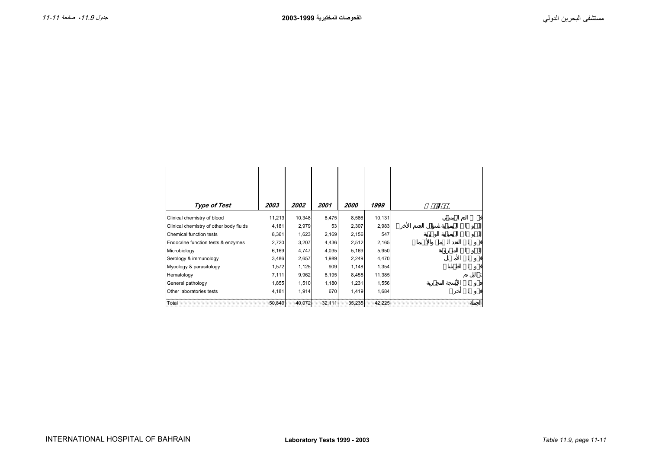<span id="page-10-0"></span>

| <b>Type of Test</b>                     | 2003   | 2002   | 2001   | <i><b>2000</b></i> | 1999   |  |
|-----------------------------------------|--------|--------|--------|--------------------|--------|--|
| Clinical chemistry of blood             | 11,213 | 10,348 | 8,475  | 8,586              | 10,131 |  |
| Clinical chemistry of other body fluids | 4,181  | 2,979  | 53     | 2,307              | 2,983  |  |
| Chemical function tests                 | 8,361  | 1,623  | 2,169  | 2,156              | 547    |  |
| Endocrine function tests & enzymes      | 2,720  | 3,207  | 4,436  | 2,512              | 2,165  |  |
| Microbiology                            | 6,169  | 4,747  | 4,035  | 5,169              | 5,950  |  |
| Serology & immunology                   | 3,486  | 2,657  | 1,989  | 2,249              | 4,470  |  |
| Mycology & parasitology                 | 1,572  | 1,125  | 909    | 1,148              | 1,354  |  |
| Hematology                              | 7,111  | 9,962  | 8,195  | 8,458              | 11,385 |  |
| General pathology                       | 1,855  | 1,510  | 1,180  | 1,231              | 1,556  |  |
| Other laboratories tests                | 4,181  | 1,914  | 670    | 1,419              | 1,684  |  |
| Total                                   | 50,849 | 40,072 | 32,111 | 35,235             | 42,225 |  |